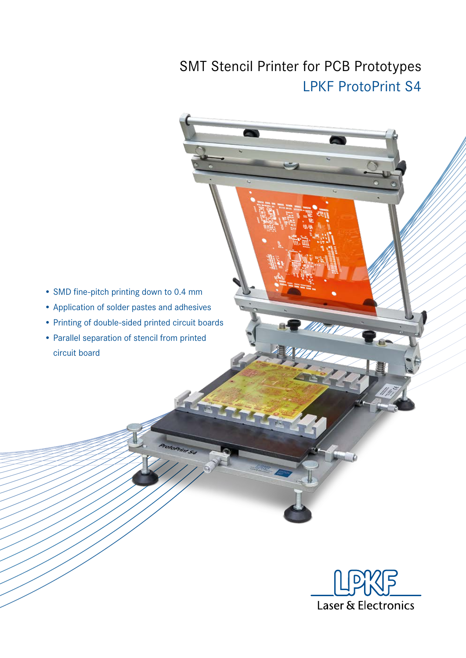## SMT Stencil Printer for PCB Prototypes LPKF ProtoPrint S4

- SMD fine-pitch printing down to 0.4 mm
- Application of solder pastes and adhesives
- Printing of double-sided printed circuit boards
- Parallel separation of stencil from printed circuit board